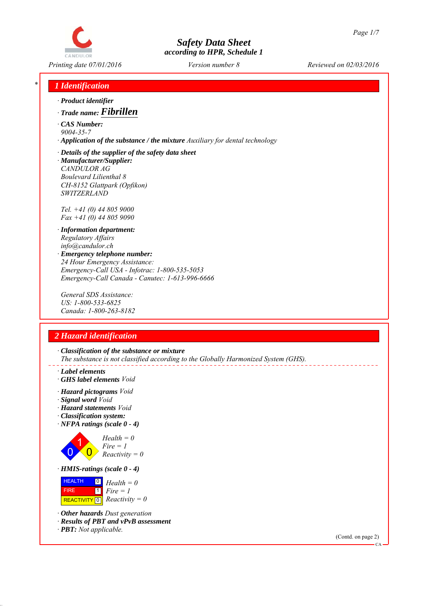

*Printing date 07/01/2016 Reviewed on 02/03/2016 Version number 8*

## *\* 1 Identification*

- *∙ Product identifier*
- *∙ Trade name: Fibrillen*
- *∙ CAS Number: 9004-35-7*
- *∙ Application of the substance / the mixture Auxiliary for dental technology*
- *∙ Details of the supplier of the safety data sheet ∙ Manufacturer/Supplier: CANDULOR AG Boulevard Lilienthal 8 CH-8152 Glattpark (Opfikon) SWITZERLAND*

*Tel. +41 (0) 44 805 9000 Fax +41 (0) 44 805 9090*

*∙ Information department: Regulatory Affairs info@candulor.ch ∙ Emergency telephone number: 24 Hour Emergency Assistance:*

*Emergency-Call USA - Infotrac: 1-800-535-5053 Emergency-Call Canada - Canutec: 1-613-996-6666*

*General SDS Assistance: US: 1-800-533-6825 Canada: 1-800-263-8182*

# *2 Hazard identification*

*∙ Classification of the substance or mixture The substance is not classified according to the Globally Harmonized System (GHS).*

- *∙ Label elements*
- *∙ GHS label elements Void*
- *∙ Hazard pictograms Void*
- *∙ Signal word Void*
- *∙ Hazard statements Void*
- *∙ Classification system:*
- *∙ NFPA ratings (scale 0 4)*



*Health = 0 Fire = 1 Reactivity = 0*

*∙ HMIS-ratings (scale 0 - 4)*



*∙ Other hazards Dust generation*

- *∙ Results of PBT and vPvB assessment*
- *∙ PBT: Not applicable.*

(Contd. on page 2)

 $\alpha$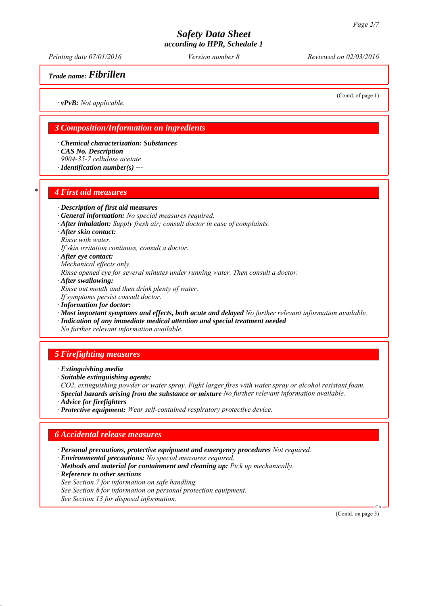*Printing date 07/01/2016 Reviewed on 02/03/2016 Version number 8*

*Trade name: Fibrillen*

(Contd. of page 1)

*∙ vPvB: Not applicable.*

## *3 Composition/Information on ingredients*

- *∙ Chemical characterization: Substances ∙ CAS No. Description*
- *9004-35-7 cellulose acetate*
- *∙ Identification number(s) ---*

#### *\* 4 First aid measures*

#### *∙ Description of first aid measures*

- *∙ General information: No special measures required.*
- *∙ After inhalation: Supply fresh air; consult doctor in case of complaints.*
- *∙ After skin contact:*
- *Rinse with water.*
- *If skin irritation continues, consult a doctor.*
- *∙ After eye contact: Mechanical effects only.*
- 
- *Rinse opened eye for several minutes under running water. Then consult a doctor.*
- *∙ After swallowing:*
- *Rinse out mouth and then drink plenty of water.*
- *If symptoms persist consult doctor.*
- *∙ Information for doctor:*
- *∙ Most important symptoms and effects, both acute and delayed No further relevant information available.*
- *∙ Indication of any immediate medical attention and special treatment needed*
- *No further relevant information available.*

## *5 Firefighting measures*

- *∙ Extinguishing media*
- *∙ Suitable extinguishing agents:*
- *CO2, extinguishing powder or water spray. Fight larger fires with water spray or alcohol resistant foam.*
- *∙ Special hazards arising from the substance or mixture No further relevant information available.*
- *∙ Advice for firefighters*
- *∙ Protective equipment: Wear self-contained respiratory protective device.*

#### *6 Accidental release measures*

- *∙ Personal precautions, protective equipment and emergency procedures Not required.*
- *∙ Environmental precautions: No special measures required.*
- *∙ Methods and material for containment and cleaning up: Pick up mechanically.*
- *∙ Reference to other sections*
- *See Section 7 for information on safe handling.*
- *See Section 8 for information on personal protection equipment.*
- *See Section 13 for disposal information.*

(Contd. on page 3)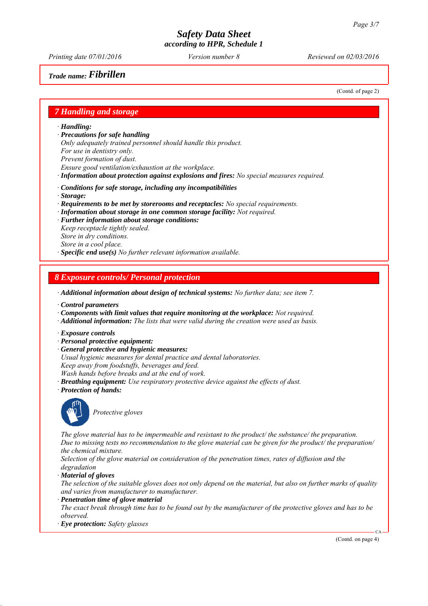*Printing date 07/01/2016 Reviewed on 02/03/2016 Version number 8*

*Trade name: Fibrillen*

(Contd. of page 2)

#### *7 Handling and storage*

*∙ Handling:*

*∙ Precautions for safe handling*

*Only adequately trained personnel should handle this product. For use in dentistry only. Prevent formation of dust. Ensure good ventilation/exhaustion at the workplace.*

*∙ Information about protection against explosions and fires: No special measures required.*

- *∙ Conditions for safe storage, including any incompatibilities*
- *∙ Storage:*
- *∙ Requirements to be met by storerooms and receptacles: No special requirements.*
- *∙ Information about storage in one common storage facility: Not required.*
- *∙ Further information about storage conditions: Keep receptacle tightly sealed. Store in dry conditions. Store in a cool place.*

*∙ Specific end use(s) No further relevant information available.*

#### *8 Exposure controls/ Personal protection*

*∙ Additional information about design of technical systems: No further data; see item 7.*

- *∙ Control parameters*
- *∙ Components with limit values that require monitoring at the workplace: Not required.*
- *∙ Additional information: The lists that were valid during the creation were used as basis.*
- *∙ Exposure controls*
- *∙ Personal protective equipment:*
- *∙ General protective and hygienic measures:*
- *Usual hygienic measures for dental practice and dental laboratories.*
- *Keep away from foodstuffs, beverages and feed.*
- *Wash hands before breaks and at the end of work.*
- *∙ Breathing equipment: Use respiratory protective device against the effects of dust.*
- *∙ Protection of hands:*



*Protective gloves*

*The glove material has to be impermeable and resistant to the product/ the substance/ the preparation. Due to missing tests no recommendation to the glove material can be given for the product/ the preparation/ the chemical mixture.*

*Selection of the glove material on consideration of the penetration times, rates of diffusion and the degradation*

*∙ Material of gloves*

*The selection of the suitable gloves does not only depend on the material, but also on further marks of quality and varies from manufacturer to manufacturer.*

*∙ Penetration time of glove material*

*The exact break through time has to be found out by the manufacturer of the protective gloves and has to be observed.*

*∙ Eye protection: Safety glasses*

(Contd. on page 4)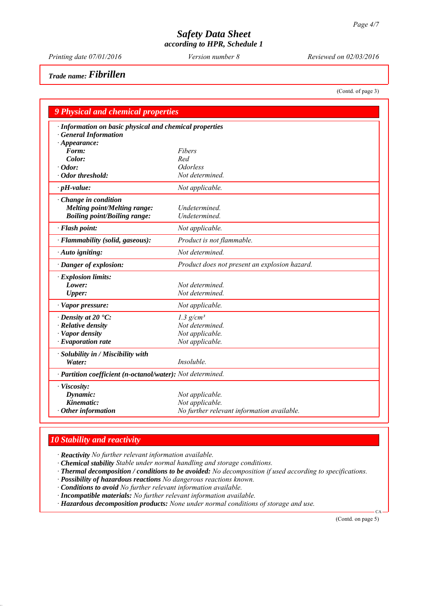*Printing date 07/01/2016 Reviewed on 02/03/2016 Version number 8*

*Trade name: Fibrillen*

(Contd. of page 3)

| <b>9 Physical and chemical properties</b>                  |                                               |  |  |  |
|------------------------------------------------------------|-----------------------------------------------|--|--|--|
| · Information on basic physical and chemical properties    |                                               |  |  |  |
| <b>General Information</b>                                 |                                               |  |  |  |
| $\cdot$ Appearance:                                        |                                               |  |  |  |
| Form:                                                      | Fibers                                        |  |  |  |
| Color:                                                     | Red                                           |  |  |  |
| $\cdot$ Odor:                                              | <i><u><b>Odorless</b></u></i>                 |  |  |  |
| $\cdot$ Odor threshold:                                    | Not determined.                               |  |  |  |
| $\cdot$ pH-value:                                          | Not applicable.                               |  |  |  |
| Change in condition                                        |                                               |  |  |  |
| Melting point/Melting range:                               | Undetermined.                                 |  |  |  |
| <b>Boiling point/Boiling range:</b>                        | Undetermined.                                 |  |  |  |
| · Flash point:                                             | Not applicable.                               |  |  |  |
| · Flammability (solid, gaseous):                           | Product is not flammable.                     |  |  |  |
| · Auto igniting:                                           | Not determined.                               |  |  |  |
| · Danger of explosion:                                     | Product does not present an explosion hazard. |  |  |  |
| $\cdot$ Explosion limits:                                  |                                               |  |  |  |
| Lower:                                                     | Not determined.                               |  |  |  |
| <b>Upper:</b>                                              | Not determined.                               |  |  |  |
| · Vapor pressure:                                          | Not applicable.                               |  |  |  |
| $\cdot$ Density at 20 $\textdegree$ C:                     | $1.3$ g/cm <sup>3</sup>                       |  |  |  |
| · Relative density                                         | Not determined.                               |  |  |  |
| · Vapor density                                            | Not applicable.                               |  |  |  |
| $\cdot$ Evaporation rate                                   | Not applicable.                               |  |  |  |
| · Solubility in / Miscibility with                         |                                               |  |  |  |
| Water:                                                     | <i>Insoluble.</i>                             |  |  |  |
| · Partition coefficient (n-octanol/water): Not determined. |                                               |  |  |  |
| · Viscosity:                                               |                                               |  |  |  |
| Dynamic:                                                   | Not applicable.                               |  |  |  |
| Kinematic:                                                 | Not applicable.                               |  |  |  |
| $\cdot$ Other information                                  | No further relevant information available.    |  |  |  |

# *10 Stability and reactivity*

*∙ Reactivity No further relevant information available.*

*∙ Chemical stability Stable under normal handling and storage conditions.*

- *∙ Thermal decomposition / conditions to be avoided: No decomposition if used according to specifications.*
- *∙ Possibility of hazardous reactions No dangerous reactions known.*

*∙ Conditions to avoid No further relevant information available.*

*∙ Incompatible materials: No further relevant information available.*

*∙ Hazardous decomposition products: None under normal conditions of storage and use.*

(Contd. on page 5)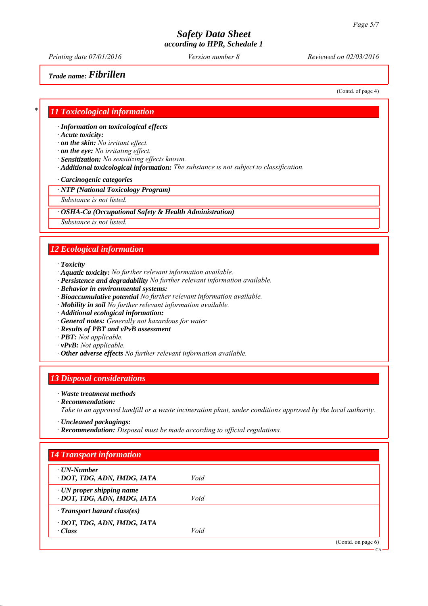*Printing date 07/01/2016 Reviewed on 02/03/2016 Version number 8*

*Trade name: Fibrillen*

(Contd. of page 4)

#### *\* 11 Toxicological information*

*∙ Information on toxicological effects*

- *∙ Acute toxicity:*
- *∙ on the skin: No irritant effect.*
- *∙ on the eye: No irritating effect.*
- *∙ Sensitization: No sensitizing effects known.*
- *∙ Additional toxicological information: The substance is not subject to classification.*

#### *∙ Carcinogenic categories*

*∙ NTP (National Toxicology Program)*

*Substance is not listed.*

*∙ OSHA-Ca (Occupational Safety & Health Administration)*

*Substance is not listed.*

## *12 Ecological information*

*∙ Toxicity*

- *∙ Aquatic toxicity: No further relevant information available.*
- *∙ Persistence and degradability No further relevant information available.*
- *∙ Behavior in environmental systems:*
- *∙ Bioaccumulative potential No further relevant information available.*
- *∙ Mobility in soil No further relevant information available.*
- *∙ Additional ecological information:*
- *∙ General notes: Generally not hazardous for water*
- *∙ Results of PBT and vPvB assessment*
- *∙ PBT: Not applicable.*
- *∙ vPvB: Not applicable.*
- *∙ Other adverse effects No further relevant information available.*

#### *13 Disposal considerations*

#### *∙ Waste treatment methods*

*∙ Recommendation:*

*Take to an approved landfill or a waste incineration plant, under conditions approved by the local authority.*

- *∙ Uncleaned packagings:*
- *∙ Recommendation: Disposal must be made according to official regulations.*

| $\cdot$ UN-Number<br>· DOT, TDG, ADN, IMDG, IATA               | Void |  |
|----------------------------------------------------------------|------|--|
| $\cdot$ UN proper shipping name<br>· DOT, TDG, ADN, IMDG, IATA | Void |  |
| $\cdot$ Transport hazard class(es)                             |      |  |
| · DOT, TDG, ADN, IMDG, IATA                                    |      |  |
| $\cdot$ Class                                                  | Void |  |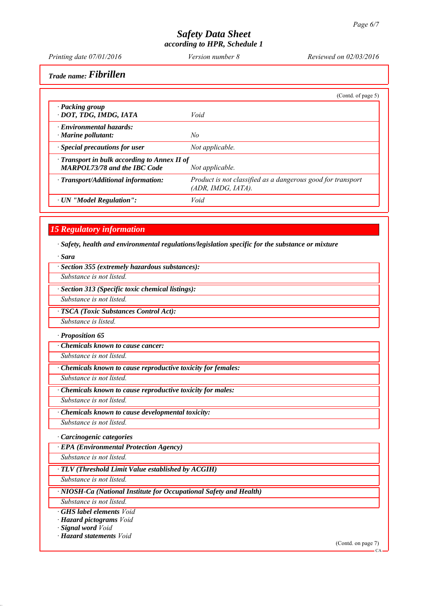*Printing date 07/01/2016 Reviewed on 02/03/2016 Version number 8*

*Trade name: Fibrillen*

|                                                                                           | (Contd. of page 5)                                                                |
|-------------------------------------------------------------------------------------------|-----------------------------------------------------------------------------------|
| · Packing group<br>· DOT, TDG, IMDG, IATA                                                 | Void                                                                              |
| $\cdot$ Environmental hazards:<br>· Marine pollutant:                                     | No                                                                                |
| · Special precautions for user                                                            | Not applicable.                                                                   |
| $\cdot$ Transport in bulk according to Annex II of<br><b>MARPOL73/78 and the IBC Code</b> | Not applicable.                                                                   |
| · Transport/Additional information:                                                       | Product is not classified as a dangerous good for transport<br>(ADR, IMDG, IATA). |
| · UN "Model Regulation":                                                                  | Void                                                                              |

## *15 Regulatory information*

*∙ Safety, health and environmental regulations/legislation specific for the substance or mixture*

*∙ Sara*

|  |  |  | · Section 355 (extremely hazardous substances): |  |
|--|--|--|-------------------------------------------------|--|
|--|--|--|-------------------------------------------------|--|

*Substance is not listed.*

*∙ Section 313 (Specific toxic chemical listings):*

*Substance is not listed.*

*∙ TSCA (Toxic Substances Control Act):*

*Substance is listed.*

*∙ Proposition 65*

*∙ Chemicals known to cause cancer:*

*Substance is not listed.*

*∙ Chemicals known to cause reproductive toxicity for females:*

*Substance is not listed.*

*∙ Chemicals known to cause reproductive toxicity for males: Substance is not listed.*

*∙ Chemicals known to cause developmental toxicity:*

*Substance is not listed.*

*∙ Carcinogenic categories*

*∙ EPA (Environmental Protection Agency)*

*Substance is not listed.*

*∙ TLV (Threshold Limit Value established by ACGIH)*

*Substance is not listed.*

*∙ NIOSH-Ca (National Institute for Occupational Safety and Health)*

*Substance is not listed.*

*∙ GHS label elements Void*

*∙ Hazard pictograms Void*

*∙ Signal word Void*

*∙ Hazard statements Void*

(Contd. on page 7)